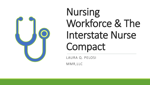

# Nursing Workforce & The Interstate Nurse Compact

LAURA Q. PELOSI

MMR,LLC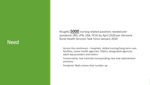#### Need

Roughly **5000** nursing related positions needed pre pandemic (RN, LPN, LNA, PCA) by *April 2020* per Vermont Rural Health Services Task Force January 2020

- Across the continuum hospitals, skilled nursing/long -term care facilities, home health agencies, FQHCs, designated agencies, adult day providers and others
- Conservative, low estimate incorporating new and replacement positions
- Pandemic likely moves that number up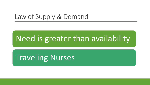## Law of Supply & Demand

## Need is greater than availability

Traveling Nurses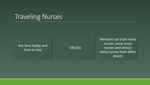## Traveling Nurses

Are here today and here today and<br>here to stay between the UNLESS

Vermont can train more nurses, keep more nurses and attract more nurses from other places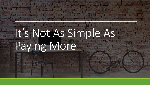# It's Not As Simple As Paying More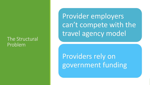#### The Structural Problem

Provider employers can't compete with the travel agency model

Providers rely on government funding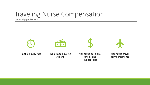## Traveling Nurse Compensation

\*Generally, specifics vary



Taxable hourly rate Mon-taxed housing



stipend

Non-taxed per diems (meals and incidentials)

Non-taxed travel reimbursements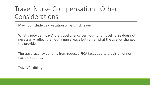## Travel Nurse Compensation: Other Considerations

◦ May not include paid vacation or paid sick leave

- What a provider "pays" the travel agency per hour for a travel nurse does not necessarily reflect the hourly nurse wage but rather what the agency charges the provider
- The travel agency benefits from reduced FICA taxes due to provision of nontaxable stipends

◦ Travel/flexibility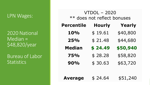#### LPN Wages:

2020 National Median = \$48,820/year

Bureau of Labor **Statistics** 

VTDOL – 2020 \*\* does not reflect bonuses

| <b>Percentile</b> | <b>Hourly</b> | Yearly   |
|-------------------|---------------|----------|
| 10%               | \$19.61       | \$40,800 |
| 25%               | \$21.48       | \$44,680 |
| <b>Median</b>     | \$24.49       | \$50,940 |
| 75%               | \$28.28       | \$58,820 |
| 90%               | \$30.63       | \$63,720 |
|                   |               |          |

Average  $$24.64$   $$51,240$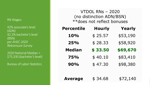RN Wages:

42% associate's level (ADN) 42.2% bachelor's level (BSN) *per AHEC 2020 Relicensure Survey*

2020 National Median = \$75,330 (bachelor's level)

Bureau of Labor Statistics

VTDOL RNs – 2020 (no distinction ADN/BSN) \*\*does not reflect bonuses

| <b>Percentile</b> | <b>Hourly</b> | <b>Yearly</b> |
|-------------------|---------------|---------------|
| 10%               | \$25.57       | \$53,190      |
| 25%               | \$28.33       | \$58,920      |
| <b>Median</b>     | \$33.50       | \$69,670      |
| <b>75%</b>        | \$40.10       | \$83,410      |
| 90%               | \$47.30       | \$98,380      |
|                   |               |               |
| <b>Average</b>    | \$34.68       | \$72,140      |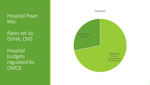#### Hospital Payer Mix:

Rates set by DVHA, CMS

Hospital budgets regulated by **GMCB** 

## 45% Medicaid, Medicare, Disproportionate Share Payments 55% commercial insurance Hospitals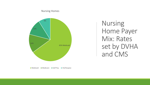#### Nursing Homes



Nursing Home Payer Mix: Rates set by DVHA and CMS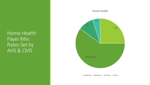Home Health Payer Mix: Rates Set by AHS & CMS

# 25% 60% Medicare 10% 5% Home Health **Medicaid Medicare Private Other**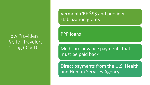#### How Providers Pay for Travelers During COVID

Vermont CRF \$\$\$ and provider stabilization grants

PPP loans

Medicare advance payments that must be paid back

Direct payments from the U.S. Health and Human Services Agency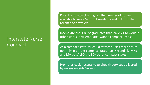#### Interstate Nurse **Compact**

Potential to attract and grow the number of nurses available to serve Vermont residents and REDUCE the reliance on travelers

Incentivize the 30% of graduates that leave VT to work in other states- new graduates want a compact license

As a compact state, VT could attract nurses more easily not only in border compact states , i.e. NH and likely NY and MA but ALSO the 30+ other compact states

Promotes easier access to telehealth services delivered by nurses outside Vermont